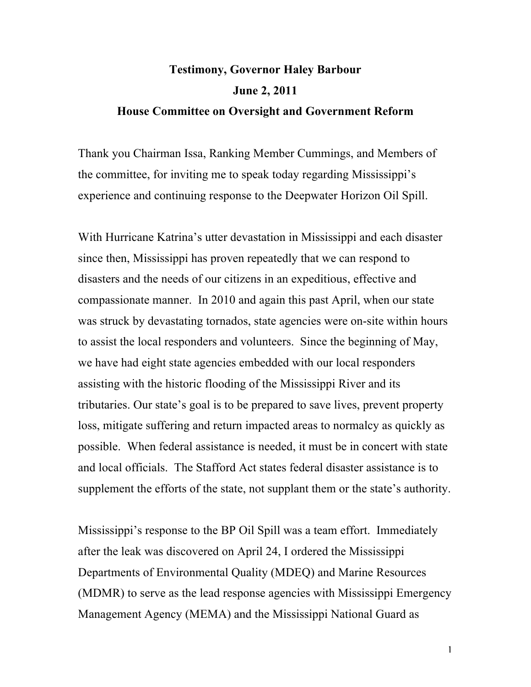## **Testimony, Governor Haley Barbour June 2, 2011 House Committee on Oversight and Government Reform**

Thank you Chairman Issa, Ranking Member Cummings, and Members of the committee, for inviting me to speak today regarding Mississippi's experience and continuing response to the Deepwater Horizon Oil Spill.

With Hurricane Katrina's utter devastation in Mississippi and each disaster since then, Mississippi has proven repeatedly that we can respond to disasters and the needs of our citizens in an expeditious, effective and compassionate manner. In 2010 and again this past April, when our state was struck by devastating tornados, state agencies were on-site within hours to assist the local responders and volunteers. Since the beginning of May, we have had eight state agencies embedded with our local responders assisting with the historic flooding of the Mississippi River and its tributaries. Our state's goal is to be prepared to save lives, prevent property loss, mitigate suffering and return impacted areas to normalcy as quickly as possible. When federal assistance is needed, it must be in concert with state and local officials. The Stafford Act states federal disaster assistance is to supplement the efforts of the state, not supplant them or the state's authority.

Mississippi's response to the BP Oil Spill was a team effort. Immediately after the leak was discovered on April 24, I ordered the Mississippi Departments of Environmental Quality (MDEQ) and Marine Resources (MDMR) to serve as the lead response agencies with Mississippi Emergency Management Agency (MEMA) and the Mississippi National Guard as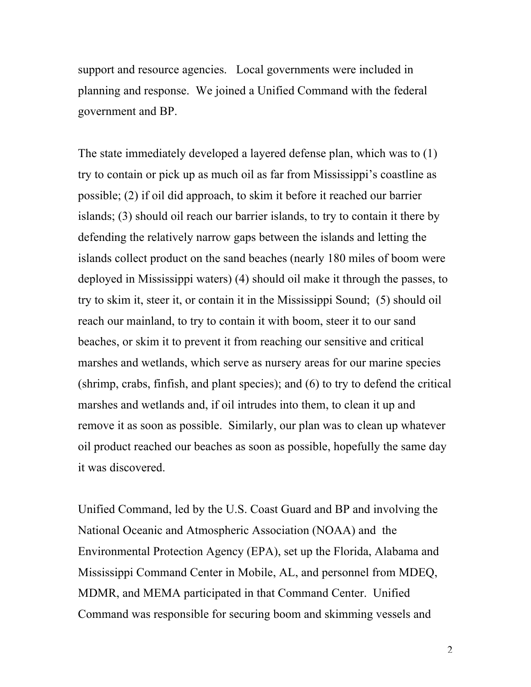support and resource agencies. Local governments were included in planning and response. We joined a Unified Command with the federal government and BP.

The state immediately developed a layered defense plan, which was to (1) try to contain or pick up as much oil as far from Mississippi's coastline as possible; (2) if oil did approach, to skim it before it reached our barrier islands; (3) should oil reach our barrier islands, to try to contain it there by defending the relatively narrow gaps between the islands and letting the islands collect product on the sand beaches (nearly 180 miles of boom were deployed in Mississippi waters) (4) should oil make it through the passes, to try to skim it, steer it, or contain it in the Mississippi Sound; (5) should oil reach our mainland, to try to contain it with boom, steer it to our sand beaches, or skim it to prevent it from reaching our sensitive and critical marshes and wetlands, which serve as nursery areas for our marine species (shrimp, crabs, finfish, and plant species); and (6) to try to defend the critical marshes and wetlands and, if oil intrudes into them, to clean it up and remove it as soon as possible. Similarly, our plan was to clean up whatever oil product reached our beaches as soon as possible, hopefully the same day it was discovered.

Unified Command, led by the U.S. Coast Guard and BP and involving the National Oceanic and Atmospheric Association (NOAA) and the Environmental Protection Agency (EPA), set up the Florida, Alabama and Mississippi Command Center in Mobile, AL, and personnel from MDEQ, MDMR, and MEMA participated in that Command Center. Unified Command was responsible for securing boom and skimming vessels and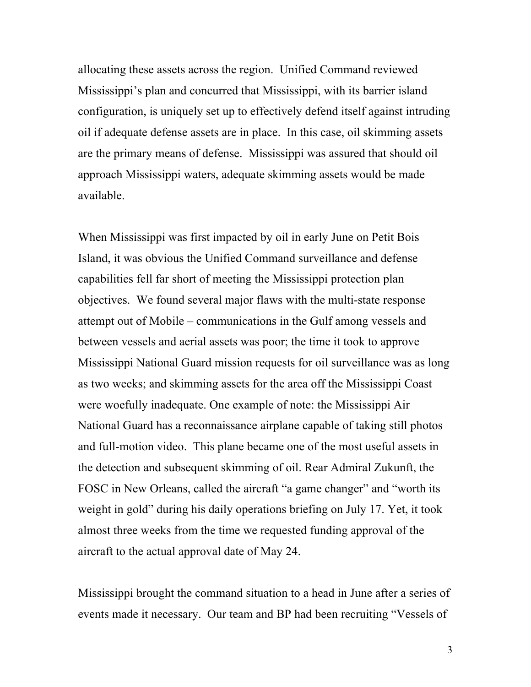allocating these assets across the region. Unified Command reviewed Mississippi's plan and concurred that Mississippi, with its barrier island configuration, is uniquely set up to effectively defend itself against intruding oil if adequate defense assets are in place. In this case, oil skimming assets are the primary means of defense. Mississippi was assured that should oil approach Mississippi waters, adequate skimming assets would be made available.

When Mississippi was first impacted by oil in early June on Petit Bois Island, it was obvious the Unified Command surveillance and defense capabilities fell far short of meeting the Mississippi protection plan objectives. We found several major flaws with the multi-state response attempt out of Mobile – communications in the Gulf among vessels and between vessels and aerial assets was poor; the time it took to approve Mississippi National Guard mission requests for oil surveillance was as long as two weeks; and skimming assets for the area off the Mississippi Coast were woefully inadequate. One example of note: the Mississippi Air National Guard has a reconnaissance airplane capable of taking still photos and full-motion video. This plane became one of the most useful assets in the detection and subsequent skimming of oil. Rear Admiral Zukunft, the FOSC in New Orleans, called the aircraft "a game changer" and "worth its weight in gold" during his daily operations briefing on July 17. Yet, it took almost three weeks from the time we requested funding approval of the aircraft to the actual approval date of May 24.

Mississippi brought the command situation to a head in June after a series of events made it necessary. Our team and BP had been recruiting "Vessels of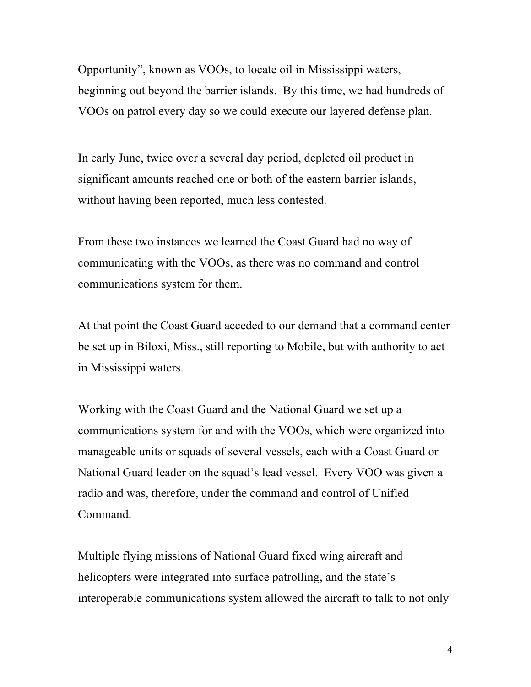Opportunity", known as VOOs, to locate oil in Mississippi waters, beginning out beyond the barrier islands. By this time, we had hundreds of VOOs on patrol every day so we could execute our layered defense plan.

In early June, twice over a several day period, depleted oil product in significant amounts reached one or both of the eastern barrier islands, without having been reported, much less contested.

From these two instances we learned the Coast Guard had no way of communicating with the VOOs, as there was no command and control communications system for them.

At that point the Coast Guard acceded to our demand that a command center be set up in Biloxi, Miss., still reporting to Mobile, but with authority to act in Mississippi waters.

Working with the Coast Guard and the National Guard we set up a communications system for and with the VOOs, which were organized into manageable units or squads of several vessels, each with a Coast Guard or National Guard leader on the squad's lead vessel. Every VOO was given a radio and was, therefore, under the command and control of Unified Command.

Multiple flying missions of National Guard fixed wing aircraft and helicopters were integrated into surface patrolling, and the state's interoperable communications system allowed the aircraft to talk to not only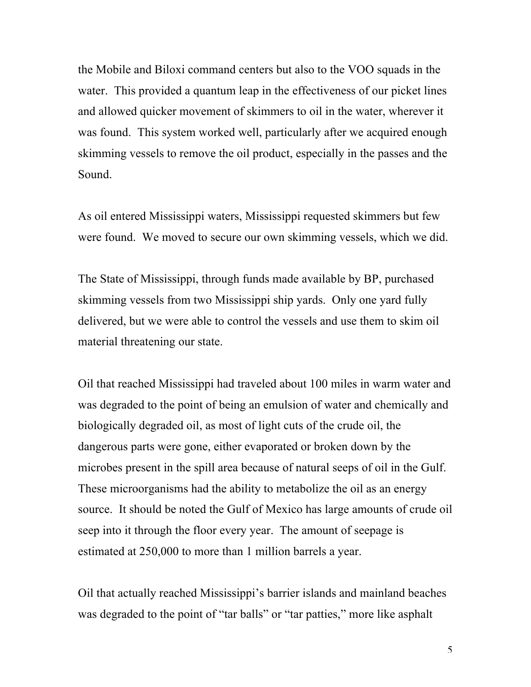the Mobile and Biloxi command centers but also to the VOO squads in the water. This provided a quantum leap in the effectiveness of our picket lines and allowed quicker movement of skimmers to oil in the water, wherever it was found. This system worked well, particularly after we acquired enough skimming vessels to remove the oil product, especially in the passes and the Sound.

As oil entered Mississippi waters, Mississippi requested skimmers but few were found. We moved to secure our own skimming vessels, which we did.

The State of Mississippi, through funds made available by BP, purchased skimming vessels from two Mississippi ship yards. Only one yard fully delivered, but we were able to control the vessels and use them to skim oil material threatening our state.

Oil that reached Mississippi had traveled about 100 miles in warm water and was degraded to the point of being an emulsion of water and chemically and biologically degraded oil, as most of light cuts of the crude oil, the dangerous parts were gone, either evaporated or broken down by the microbes present in the spill area because of natural seeps of oil in the Gulf. These microorganisms had the ability to metabolize the oil as an energy source. It should be noted the Gulf of Mexico has large amounts of crude oil seep into it through the floor every year. The amount of seepage is estimated at 250,000 to more than 1 million barrels a year.

Oil that actually reached Mississippi's barrier islands and mainland beaches was degraded to the point of "tar balls" or "tar patties," more like asphalt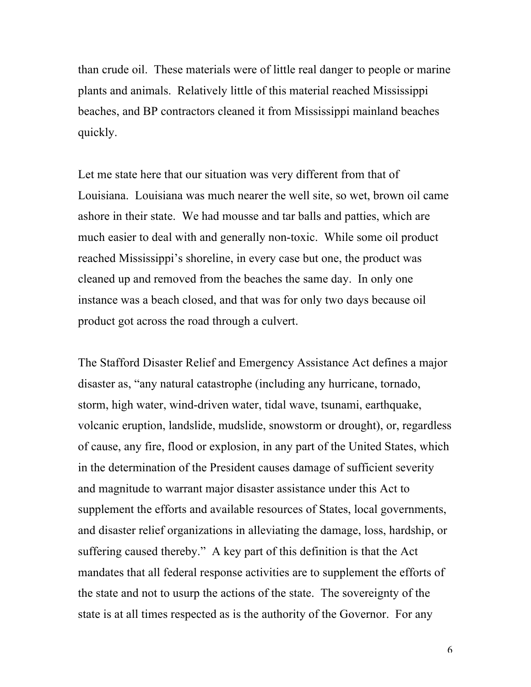than crude oil. These materials were of little real danger to people or marine plants and animals. Relatively little of this material reached Mississippi beaches, and BP contractors cleaned it from Mississippi mainland beaches quickly.

Let me state here that our situation was very different from that of Louisiana. Louisiana was much nearer the well site, so wet, brown oil came ashore in their state. We had mousse and tar balls and patties, which are much easier to deal with and generally non-toxic. While some oil product reached Mississippi's shoreline, in every case but one, the product was cleaned up and removed from the beaches the same day. In only one instance was a beach closed, and that was for only two days because oil product got across the road through a culvert.

The Stafford Disaster Relief and Emergency Assistance Act defines a major disaster as, "any natural catastrophe (including any hurricane, tornado, storm, high water, wind-driven water, tidal wave, tsunami, earthquake, volcanic eruption, landslide, mudslide, snowstorm or drought), or, regardless of cause, any fire, flood or explosion, in any part of the United States, which in the determination of the President causes damage of sufficient severity and magnitude to warrant major disaster assistance under this Act to supplement the efforts and available resources of States, local governments, and disaster relief organizations in alleviating the damage, loss, hardship, or suffering caused thereby." A key part of this definition is that the Act mandates that all federal response activities are to supplement the efforts of the state and not to usurp the actions of the state. The sovereignty of the state is at all times respected as is the authority of the Governor. For any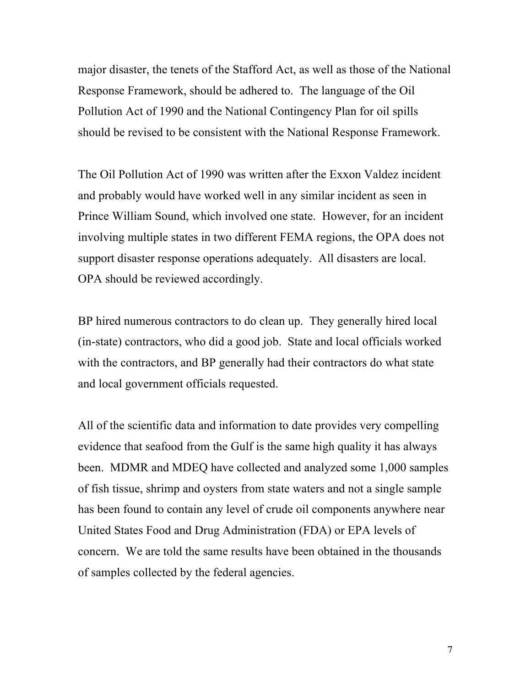major disaster, the tenets of the Stafford Act, as well as those of the National Response Framework, should be adhered to. The language of the Oil Pollution Act of 1990 and the National Contingency Plan for oil spills should be revised to be consistent with the National Response Framework.

The Oil Pollution Act of 1990 was written after the Exxon Valdez incident and probably would have worked well in any similar incident as seen in Prince William Sound, which involved one state. However, for an incident involving multiple states in two different FEMA regions, the OPA does not support disaster response operations adequately. All disasters are local. OPA should be reviewed accordingly.

BP hired numerous contractors to do clean up. They generally hired local (in-state) contractors, who did a good job. State and local officials worked with the contractors, and BP generally had their contractors do what state and local government officials requested.

All of the scientific data and information to date provides very compelling evidence that seafood from the Gulf is the same high quality it has always been. MDMR and MDEQ have collected and analyzed some 1,000 samples of fish tissue, shrimp and oysters from state waters and not a single sample has been found to contain any level of crude oil components anywhere near United States Food and Drug Administration (FDA) or EPA levels of concern. We are told the same results have been obtained in the thousands of samples collected by the federal agencies.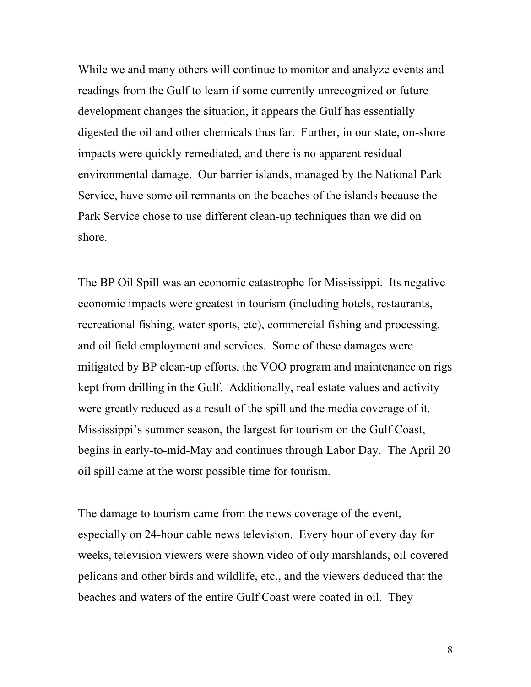While we and many others will continue to monitor and analyze events and readings from the Gulf to learn if some currently unrecognized or future development changes the situation, it appears the Gulf has essentially digested the oil and other chemicals thus far. Further, in our state, on-shore impacts were quickly remediated, and there is no apparent residual environmental damage. Our barrier islands, managed by the National Park Service, have some oil remnants on the beaches of the islands because the Park Service chose to use different clean-up techniques than we did on shore.

The BP Oil Spill was an economic catastrophe for Mississippi. Its negative economic impacts were greatest in tourism (including hotels, restaurants, recreational fishing, water sports, etc), commercial fishing and processing, and oil field employment and services. Some of these damages were mitigated by BP clean-up efforts, the VOO program and maintenance on rigs kept from drilling in the Gulf. Additionally, real estate values and activity were greatly reduced as a result of the spill and the media coverage of it. Mississippi's summer season, the largest for tourism on the Gulf Coast, begins in early-to-mid-May and continues through Labor Day. The April 20 oil spill came at the worst possible time for tourism.

The damage to tourism came from the news coverage of the event, especially on 24-hour cable news television. Every hour of every day for weeks, television viewers were shown video of oily marshlands, oil-covered pelicans and other birds and wildlife, etc., and the viewers deduced that the beaches and waters of the entire Gulf Coast were coated in oil. They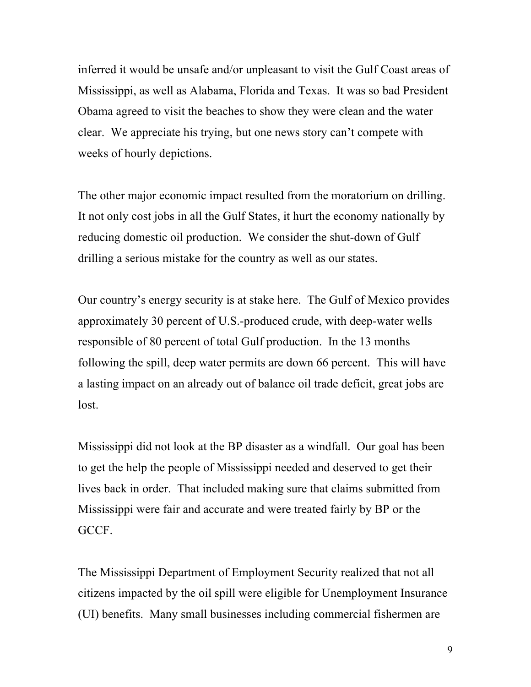inferred it would be unsafe and/or unpleasant to visit the Gulf Coast areas of Mississippi, as well as Alabama, Florida and Texas. It was so bad President Obama agreed to visit the beaches to show they were clean and the water clear. We appreciate his trying, but one news story can't compete with weeks of hourly depictions.

The other major economic impact resulted from the moratorium on drilling. It not only cost jobs in all the Gulf States, it hurt the economy nationally by reducing domestic oil production. We consider the shut-down of Gulf drilling a serious mistake for the country as well as our states.

Our country's energy security is at stake here. The Gulf of Mexico provides approximately 30 percent of U.S.-produced crude, with deep-water wells responsible of 80 percent of total Gulf production. In the 13 months following the spill, deep water permits are down 66 percent. This will have a lasting impact on an already out of balance oil trade deficit, great jobs are lost.

Mississippi did not look at the BP disaster as a windfall. Our goal has been to get the help the people of Mississippi needed and deserved to get their lives back in order. That included making sure that claims submitted from Mississippi were fair and accurate and were treated fairly by BP or the GCCF.

The Mississippi Department of Employment Security realized that not all citizens impacted by the oil spill were eligible for Unemployment Insurance (UI) benefits. Many small businesses including commercial fishermen are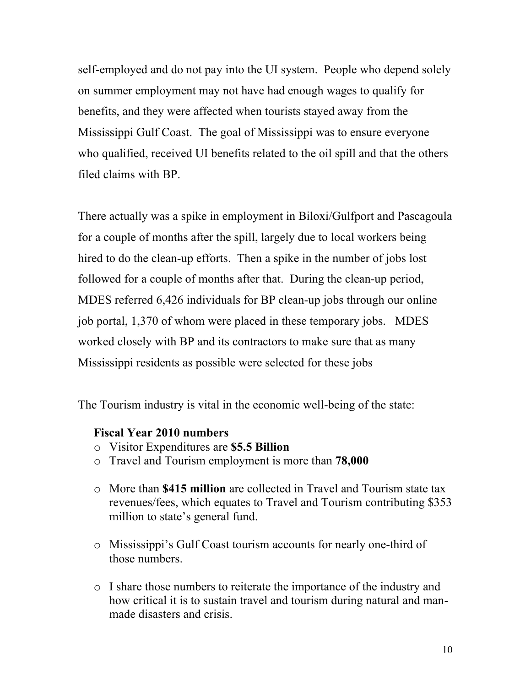self-employed and do not pay into the UI system. People who depend solely on summer employment may not have had enough wages to qualify for benefits, and they were affected when tourists stayed away from the Mississippi Gulf Coast. The goal of Mississippi was to ensure everyone who qualified, received UI benefits related to the oil spill and that the others filed claims with BP.

There actually was a spike in employment in Biloxi/Gulfport and Pascagoula for a couple of months after the spill, largely due to local workers being hired to do the clean-up efforts. Then a spike in the number of jobs lost followed for a couple of months after that. During the clean-up period, MDES referred 6,426 individuals for BP clean-up jobs through our online job portal, 1,370 of whom were placed in these temporary jobs. MDES worked closely with BP and its contractors to make sure that as many Mississippi residents as possible were selected for these jobs

The Tourism industry is vital in the economic well-being of the state:

## **Fiscal Year 2010 numbers**

- o Visitor Expenditures are **\$5.5 Billion**
- o Travel and Tourism employment is more than **78,000**
- o More than **\$415 million** are collected in Travel and Tourism state tax revenues/fees, which equates to Travel and Tourism contributing \$353 million to state's general fund.
- o Mississippi's Gulf Coast tourism accounts for nearly one-third of those numbers.
- o I share those numbers to reiterate the importance of the industry and how critical it is to sustain travel and tourism during natural and manmade disasters and crisis.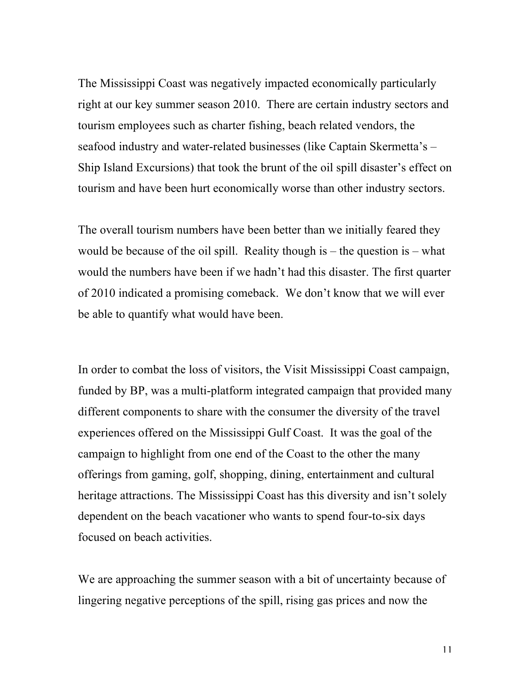The Mississippi Coast was negatively impacted economically particularly right at our key summer season 2010. There are certain industry sectors and tourism employees such as charter fishing, beach related vendors, the seafood industry and water-related businesses (like Captain Skermetta's – Ship Island Excursions) that took the brunt of the oil spill disaster's effect on tourism and have been hurt economically worse than other industry sectors.

The overall tourism numbers have been better than we initially feared they would be because of the oil spill. Reality though is – the question is – what would the numbers have been if we hadn't had this disaster. The first quarter of 2010 indicated a promising comeback. We don't know that we will ever be able to quantify what would have been.

In order to combat the loss of visitors, the Visit Mississippi Coast campaign, funded by BP, was a multi-platform integrated campaign that provided many different components to share with the consumer the diversity of the travel experiences offered on the Mississippi Gulf Coast. It was the goal of the campaign to highlight from one end of the Coast to the other the many offerings from gaming, golf, shopping, dining, entertainment and cultural heritage attractions. The Mississippi Coast has this diversity and isn't solely dependent on the beach vacationer who wants to spend four-to-six days focused on beach activities.

We are approaching the summer season with a bit of uncertainty because of lingering negative perceptions of the spill, rising gas prices and now the